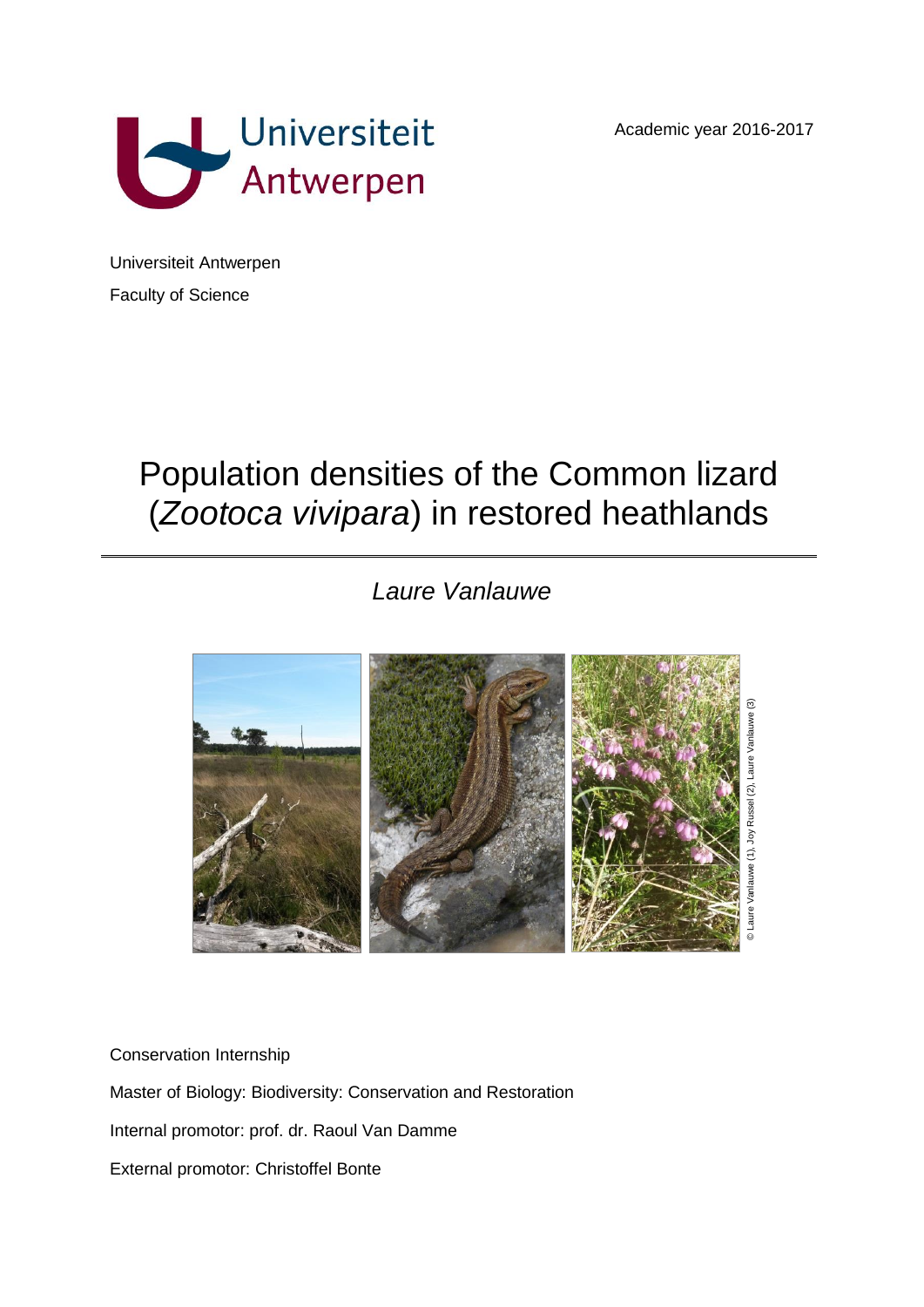Academic year 2016-2017



Universiteit Antwerpen Faculty of Science

# Population densities of the Common lizard (*Zootoca vivipara*) in restored heathlands

## *Laure Vanlauwe*



Conservation Internship Master of Biology: Biodiversity: Conservation and Restoration Internal promotor: prof. dr. Raoul Van Damme External promotor: Christoffel Bonte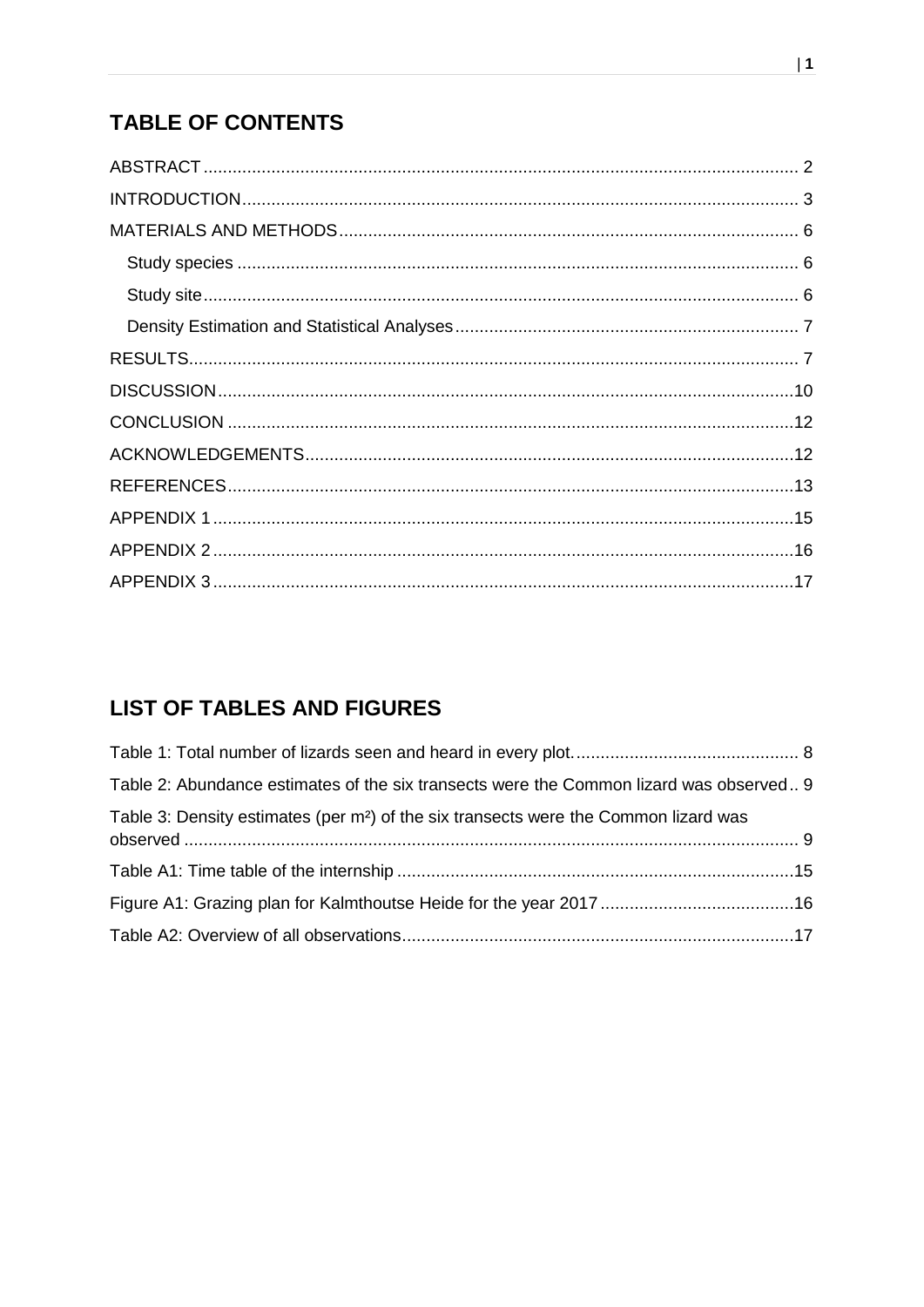## **TABLE OF CONTENTS**

## **LIST OF TABLES AND FIGURES**

| Table 2: Abundance estimates of the six transects were the Common lizard was observed 9          |  |
|--------------------------------------------------------------------------------------------------|--|
| Table 3: Density estimates (per m <sup>2</sup> ) of the six transects were the Common lizard was |  |
|                                                                                                  |  |
|                                                                                                  |  |
|                                                                                                  |  |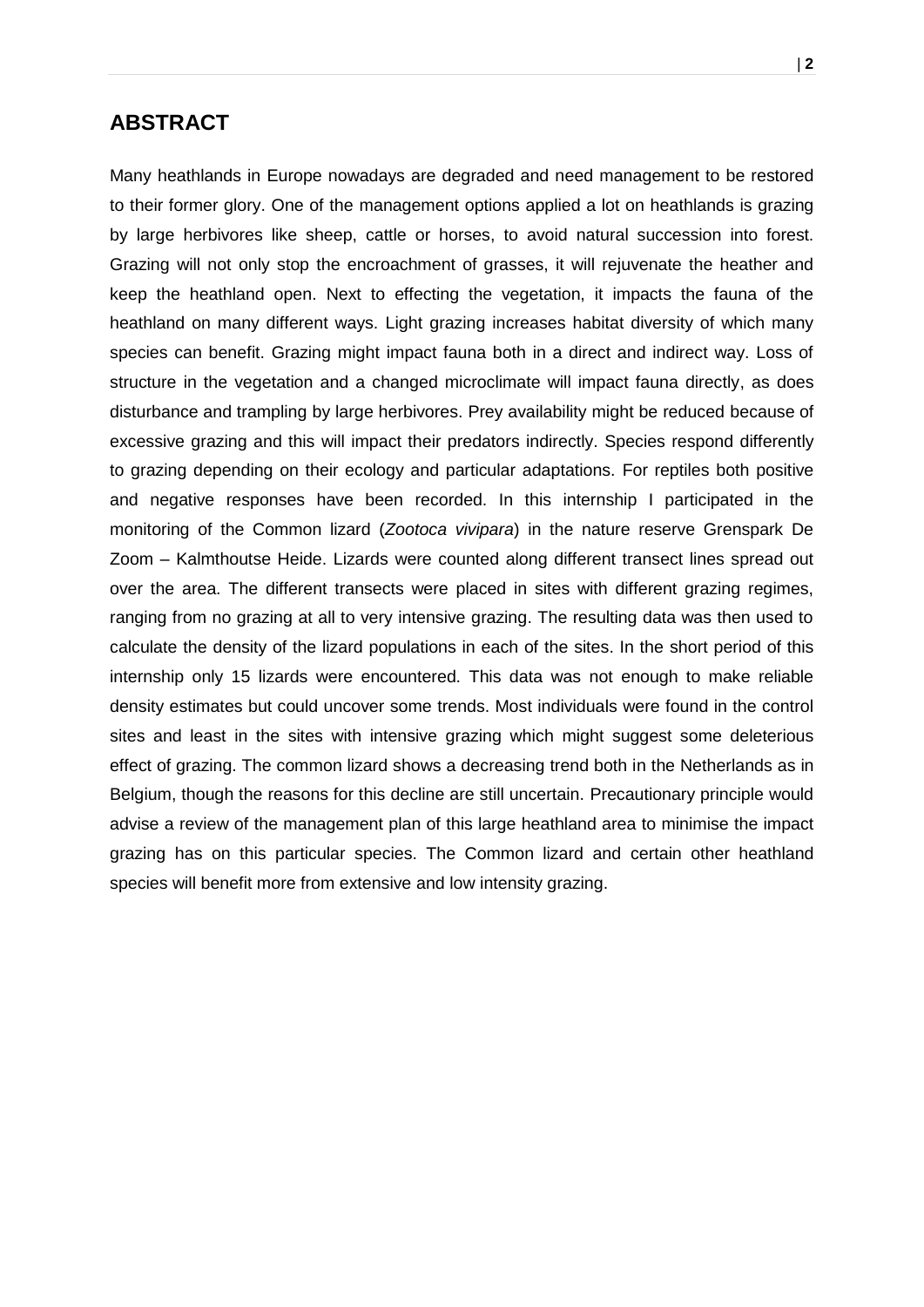## <span id="page-2-0"></span>**ABSTRACT**

Many heathlands in Europe nowadays are degraded and need management to be restored to their former glory. One of the management options applied a lot on heathlands is grazing by large herbivores like sheep, cattle or horses, to avoid natural succession into forest. Grazing will not only stop the encroachment of grasses, it will rejuvenate the heather and keep the heathland open. Next to effecting the vegetation, it impacts the fauna of the heathland on many different ways. Light grazing increases habitat diversity of which many species can benefit. Grazing might impact fauna both in a direct and indirect way. Loss of structure in the vegetation and a changed microclimate will impact fauna directly, as does disturbance and trampling by large herbivores. Prey availability might be reduced because of excessive grazing and this will impact their predators indirectly. Species respond differently to grazing depending on their ecology and particular adaptations. For reptiles both positive and negative responses have been recorded. In this internship I participated in the monitoring of the Common lizard (*Zootoca vivipara*) in the nature reserve Grenspark De Zoom – Kalmthoutse Heide. Lizards were counted along different transect lines spread out over the area. The different transects were placed in sites with different grazing regimes, ranging from no grazing at all to very intensive grazing. The resulting data was then used to calculate the density of the lizard populations in each of the sites. In the short period of this internship only 15 lizards were encountered. This data was not enough to make reliable density estimates but could uncover some trends. Most individuals were found in the control sites and least in the sites with intensive grazing which might suggest some deleterious effect of grazing. The common lizard shows a decreasing trend both in the Netherlands as in Belgium, though the reasons for this decline are still uncertain. Precautionary principle would advise a review of the management plan of this large heathland area to minimise the impact grazing has on this particular species. The Common lizard and certain other heathland species will benefit more from extensive and low intensity grazing.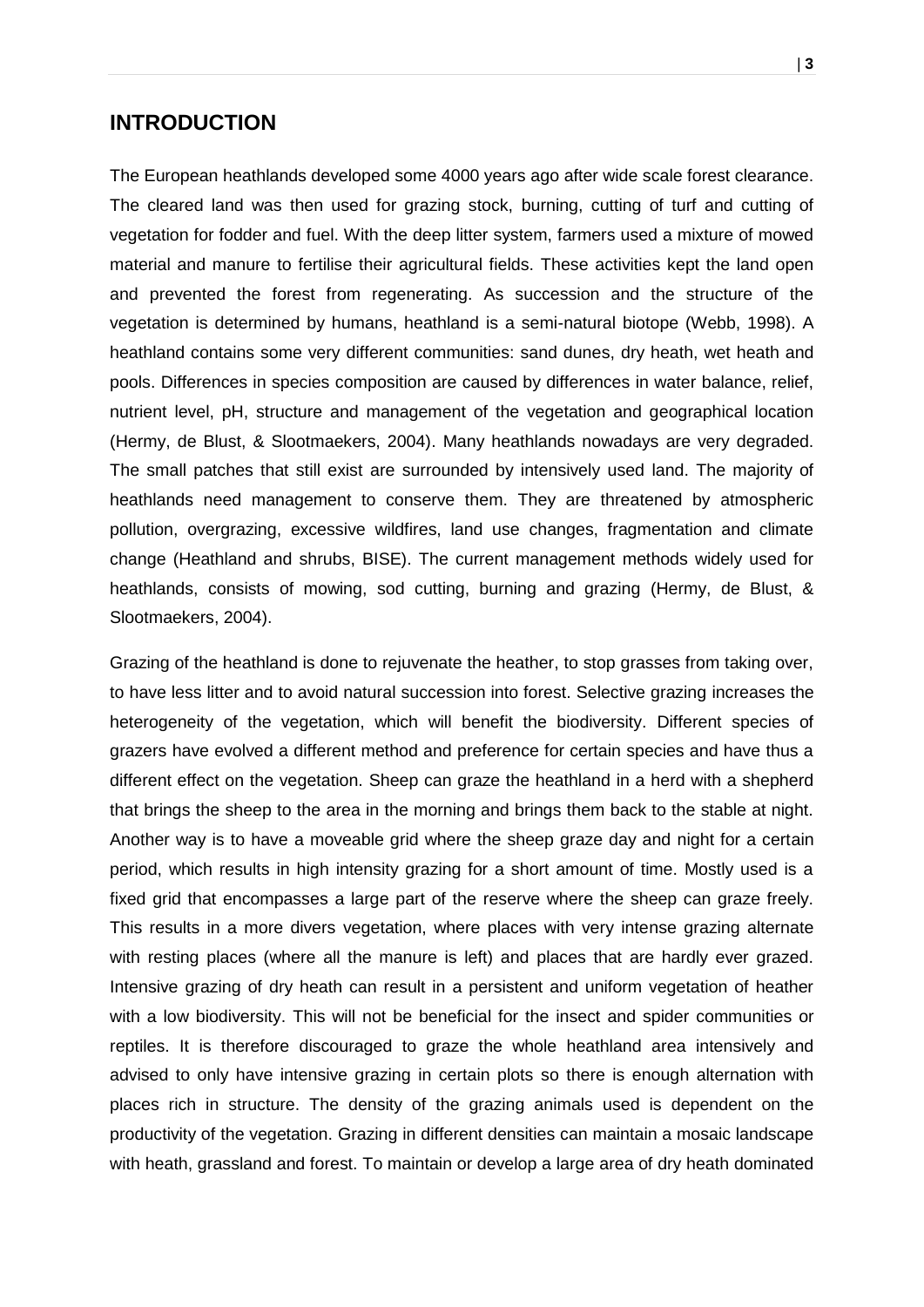### <span id="page-3-0"></span>**INTRODUCTION**

The European heathlands developed some 4000 years ago after wide scale forest clearance. The cleared land was then used for grazing stock, burning, cutting of turf and cutting of vegetation for fodder and fuel. With the deep litter system, farmers used a mixture of mowed material and manure to fertilise their agricultural fields. These activities kept the land open and prevented the forest from regenerating. As succession and the structure of the vegetation is determined by humans, heathland is a semi-natural biotope (Webb, 1998). A heathland contains some very different communities: sand dunes, dry heath, wet heath and pools. Differences in species composition are caused by differences in water balance, relief, nutrient level, pH, structure and management of the vegetation and geographical location (Hermy, de Blust, & Slootmaekers, 2004). Many heathlands nowadays are very degraded. The small patches that still exist are surrounded by intensively used land. The majority of heathlands need management to conserve them. They are threatened by atmospheric pollution, overgrazing, excessive wildfires, land use changes, fragmentation and climate change (Heathland and shrubs, BISE). The current management methods widely used for heathlands, consists of mowing, sod cutting, burning and grazing (Hermy, de Blust, & Slootmaekers, 2004).

Grazing of the heathland is done to rejuvenate the heather, to stop grasses from taking over, to have less litter and to avoid natural succession into forest. Selective grazing increases the heterogeneity of the vegetation, which will benefit the biodiversity. Different species of grazers have evolved a different method and preference for certain species and have thus a different effect on the vegetation. Sheep can graze the heathland in a herd with a shepherd that brings the sheep to the area in the morning and brings them back to the stable at night. Another way is to have a moveable grid where the sheep graze day and night for a certain period, which results in high intensity grazing for a short amount of time. Mostly used is a fixed grid that encompasses a large part of the reserve where the sheep can graze freely. This results in a more divers vegetation, where places with very intense grazing alternate with resting places (where all the manure is left) and places that are hardly ever grazed. Intensive grazing of dry heath can result in a persistent and uniform vegetation of heather with a low biodiversity. This will not be beneficial for the insect and spider communities or reptiles. It is therefore discouraged to graze the whole heathland area intensively and advised to only have intensive grazing in certain plots so there is enough alternation with places rich in structure. The density of the grazing animals used is dependent on the productivity of the vegetation. Grazing in different densities can maintain a mosaic landscape with heath, grassland and forest. To maintain or develop a large area of dry heath dominated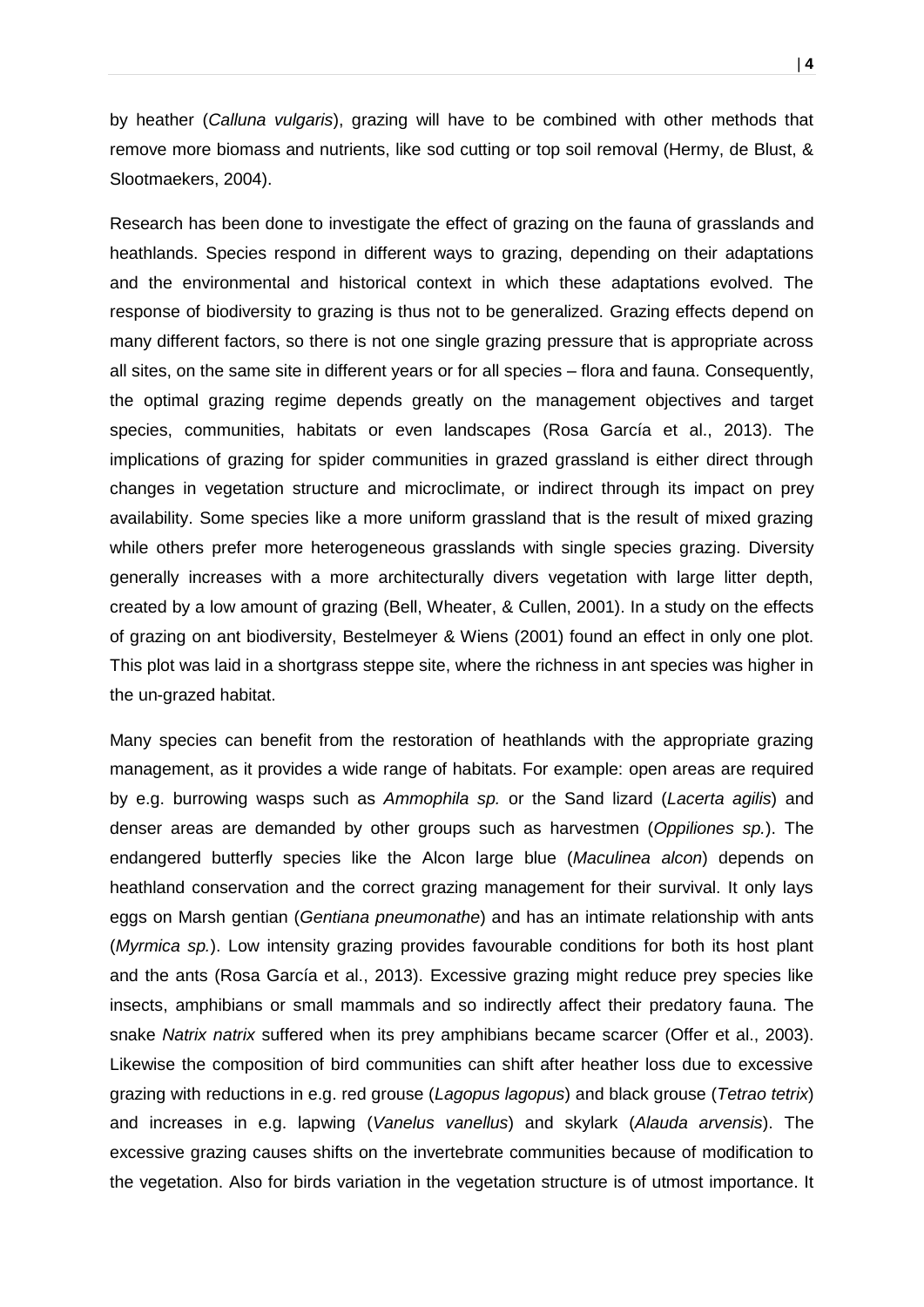by heather (*Calluna vulgaris*), grazing will have to be combined with other methods that remove more biomass and nutrients, like sod cutting or top soil removal (Hermy, de Blust, & Slootmaekers, 2004).

Research has been done to investigate the effect of grazing on the fauna of grasslands and heathlands. Species respond in different ways to grazing, depending on their adaptations and the environmental and historical context in which these adaptations evolved. The response of biodiversity to grazing is thus not to be generalized. Grazing effects depend on many different factors, so there is not one single grazing pressure that is appropriate across all sites, on the same site in different years or for all species – flora and fauna. Consequently, the optimal grazing regime depends greatly on the management objectives and target species, communities, habitats or even landscapes (Rosa García et al., 2013). The implications of grazing for spider communities in grazed grassland is either direct through changes in vegetation structure and microclimate, or indirect through its impact on prey availability. Some species like a more uniform grassland that is the result of mixed grazing while others prefer more heterogeneous grasslands with single species grazing. Diversity generally increases with a more architecturally divers vegetation with large litter depth, created by a low amount of grazing (Bell, Wheater, & Cullen, 2001). In a study on the effects of grazing on ant biodiversity, Bestelmeyer & Wiens (2001) found an effect in only one plot. This plot was laid in a shortgrass steppe site, where the richness in ant species was higher in the un-grazed habitat.

Many species can benefit from the restoration of heathlands with the appropriate grazing management, as it provides a wide range of habitats. For example: open areas are required by e.g. burrowing wasps such as *Ammophila sp.* or the Sand lizard (*Lacerta agilis*) and denser areas are demanded by other groups such as harvestmen (*Oppiliones sp.*). The endangered butterfly species like the Alcon large blue (*Maculinea alcon*) depends on heathland conservation and the correct grazing management for their survival. It only lays eggs on Marsh gentian (*Gentiana pneumonathe*) and has an intimate relationship with ants (*Myrmica sp.*). Low intensity grazing provides favourable conditions for both its host plant and the ants (Rosa García et al., 2013). Excessive grazing might reduce prey species like insects, amphibians or small mammals and so indirectly affect their predatory fauna. The snake *Natrix natrix* suffered when its prey amphibians became scarcer (Offer et al., 2003). Likewise the composition of bird communities can shift after heather loss due to excessive grazing with reductions in e.g. red grouse (*Lagopus lagopus*) and black grouse (*Tetrao tetrix*) and increases in e.g. lapwing (*Vanelus vanellus*) and skylark (*Alauda arvensis*). The excessive grazing causes shifts on the invertebrate communities because of modification to the vegetation. Also for birds variation in the vegetation structure is of utmost importance. It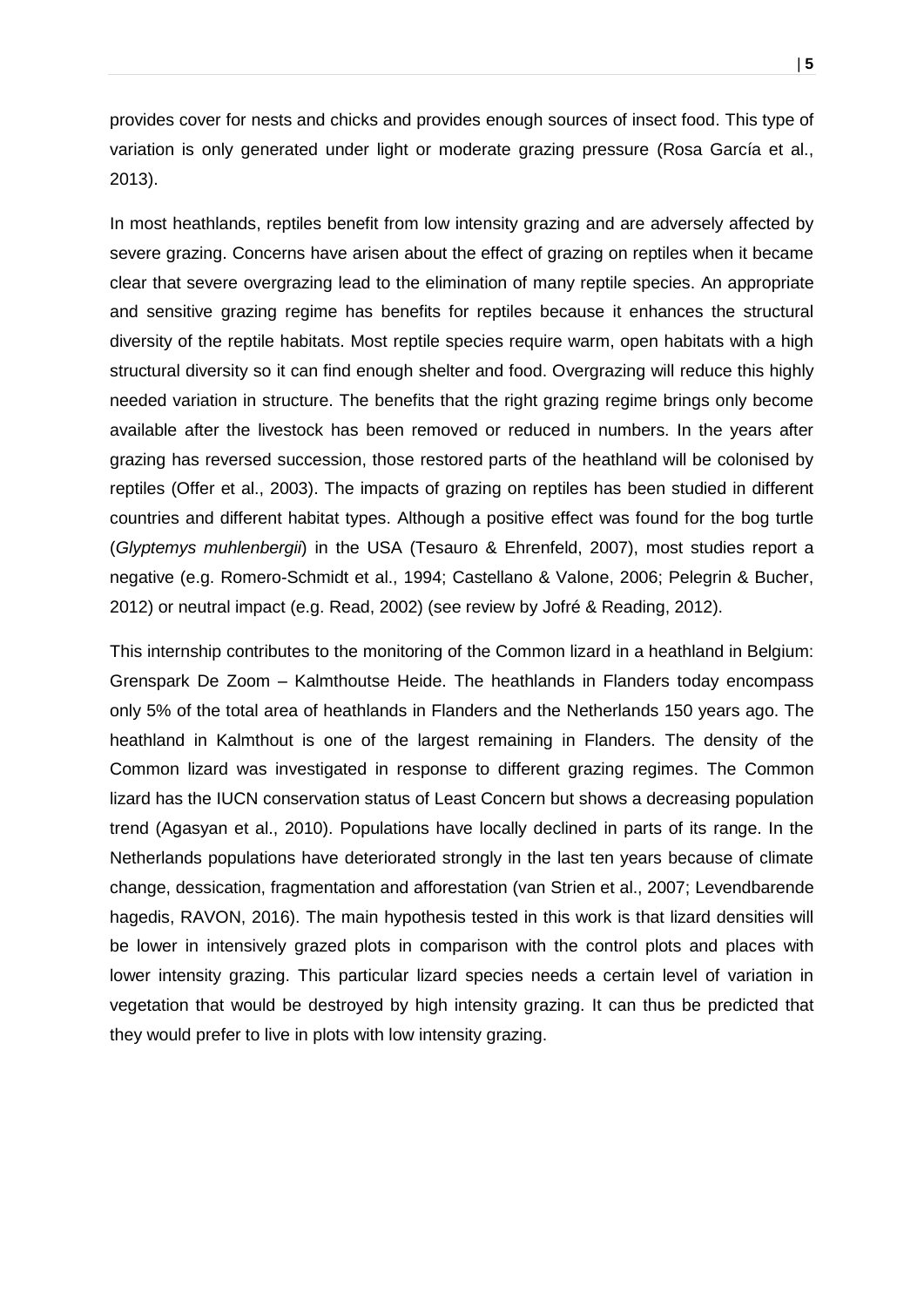provides cover for nests and chicks and provides enough sources of insect food. This type of variation is only generated under light or moderate grazing pressure (Rosa García et al., 2013).

In most heathlands, reptiles benefit from low intensity grazing and are adversely affected by severe grazing. Concerns have arisen about the effect of grazing on reptiles when it became clear that severe overgrazing lead to the elimination of many reptile species. An appropriate and sensitive grazing regime has benefits for reptiles because it enhances the structural diversity of the reptile habitats. Most reptile species require warm, open habitats with a high structural diversity so it can find enough shelter and food. Overgrazing will reduce this highly needed variation in structure. The benefits that the right grazing regime brings only become available after the livestock has been removed or reduced in numbers. In the years after grazing has reversed succession, those restored parts of the heathland will be colonised by reptiles (Offer et al., 2003). The impacts of grazing on reptiles has been studied in different countries and different habitat types. Although a positive effect was found for the bog turtle (*Glyptemys muhlenbergii*) in the USA (Tesauro & Ehrenfeld, 2007), most studies report a negative (e.g. Romero-Schmidt et al., 1994; Castellano & Valone, 2006; Pelegrin & Bucher, 2012) or neutral impact (e.g. Read, 2002) (see review by Jofré & Reading, 2012).

This internship contributes to the monitoring of the Common lizard in a heathland in Belgium: Grenspark De Zoom – Kalmthoutse Heide. The heathlands in Flanders today encompass only 5% of the total area of heathlands in Flanders and the Netherlands 150 years ago. The heathland in Kalmthout is one of the largest remaining in Flanders. The density of the Common lizard was investigated in response to different grazing regimes. The Common lizard has the IUCN conservation status of Least Concern but shows a decreasing population trend (Agasyan et al., 2010). Populations have locally declined in parts of its range. In the Netherlands populations have deteriorated strongly in the last ten years because of climate change, dessication, fragmentation and afforestation (van Strien et al., 2007; Levendbarende hagedis, RAVON, 2016). The main hypothesis tested in this work is that lizard densities will be lower in intensively grazed plots in comparison with the control plots and places with lower intensity grazing. This particular lizard species needs a certain level of variation in vegetation that would be destroyed by high intensity grazing. It can thus be predicted that they would prefer to live in plots with low intensity grazing.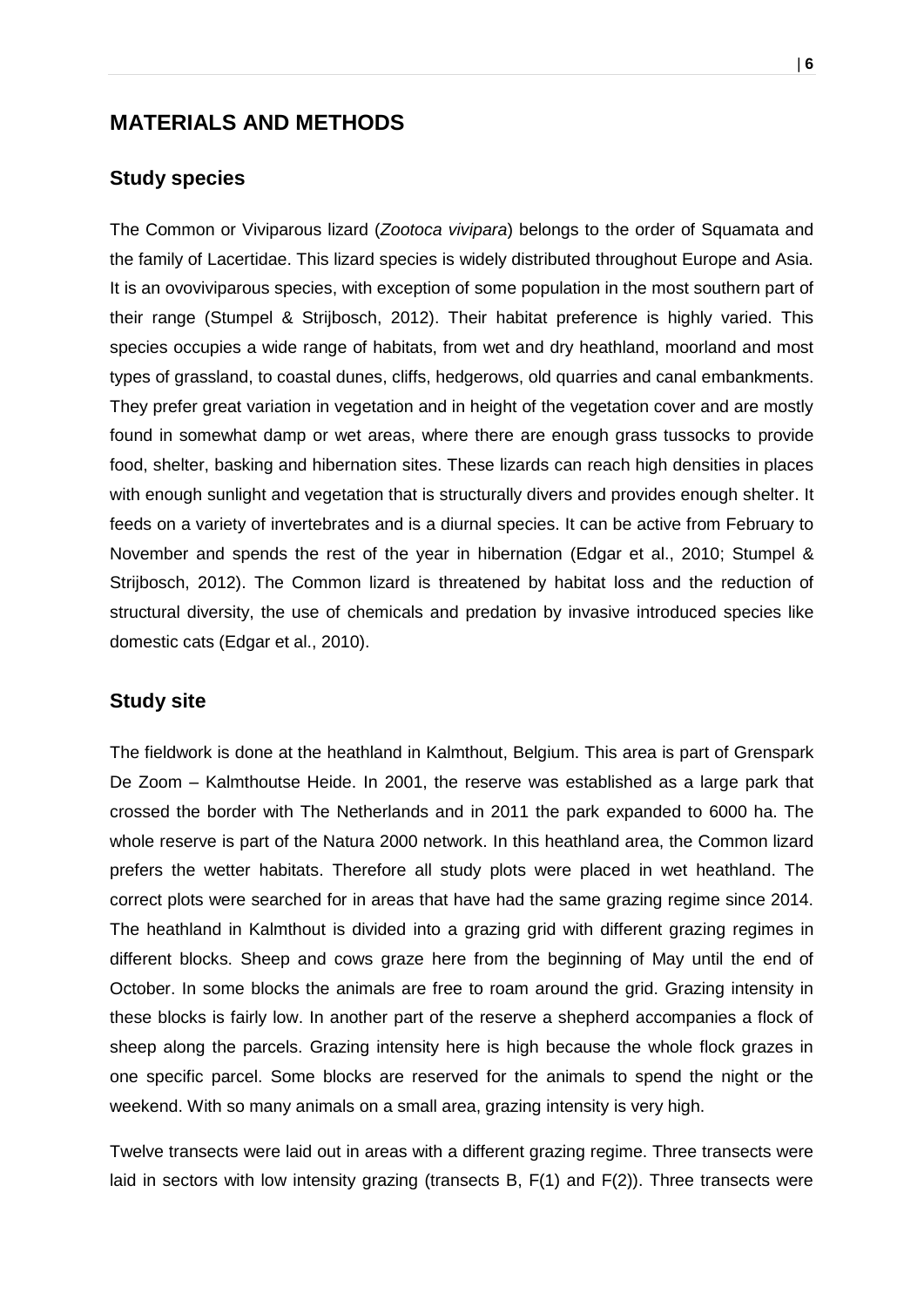## <span id="page-6-0"></span>**MATERIALS AND METHODS**

#### <span id="page-6-1"></span>**Study species**

The Common or Viviparous lizard (*Zootoca vivipara*) belongs to the order of Squamata and the family of Lacertidae. This lizard species is widely distributed throughout Europe and Asia. It is an ovoviviparous species, with exception of some population in the most southern part of their range (Stumpel & Strijbosch, 2012). Their habitat preference is highly varied. This species occupies a wide range of habitats, from wet and dry heathland, moorland and most types of grassland, to coastal dunes, cliffs, hedgerows, old quarries and canal embankments. They prefer great variation in vegetation and in height of the vegetation cover and are mostly found in somewhat damp or wet areas, where there are enough grass tussocks to provide food, shelter, basking and hibernation sites. These lizards can reach high densities in places with enough sunlight and vegetation that is structurally divers and provides enough shelter. It feeds on a variety of invertebrates and is a diurnal species. It can be active from February to November and spends the rest of the year in hibernation (Edgar et al., 2010; Stumpel & Strijbosch, 2012). The Common lizard is threatened by habitat loss and the reduction of structural diversity, the use of chemicals and predation by invasive introduced species like domestic cats (Edgar et al., 2010).

#### <span id="page-6-2"></span>**Study site**

The fieldwork is done at the heathland in Kalmthout, Belgium. This area is part of Grenspark De Zoom – Kalmthoutse Heide. In 2001, the reserve was established as a large park that crossed the border with The Netherlands and in 2011 the park expanded to 6000 ha. The whole reserve is part of the Natura 2000 network. In this heathland area, the Common lizard prefers the wetter habitats. Therefore all study plots were placed in wet heathland. The correct plots were searched for in areas that have had the same grazing regime since 2014. The heathland in Kalmthout is divided into a grazing grid with different grazing regimes in different blocks. Sheep and cows graze here from the beginning of May until the end of October. In some blocks the animals are free to roam around the grid. Grazing intensity in these blocks is fairly low. In another part of the reserve a shepherd accompanies a flock of sheep along the parcels. Grazing intensity here is high because the whole flock grazes in one specific parcel. Some blocks are reserved for the animals to spend the night or the weekend. With so many animals on a small area, grazing intensity is very high.

Twelve transects were laid out in areas with a different grazing regime. Three transects were laid in sectors with low intensity grazing (transects  $B$ ,  $F(1)$  and  $F(2)$ ). Three transects were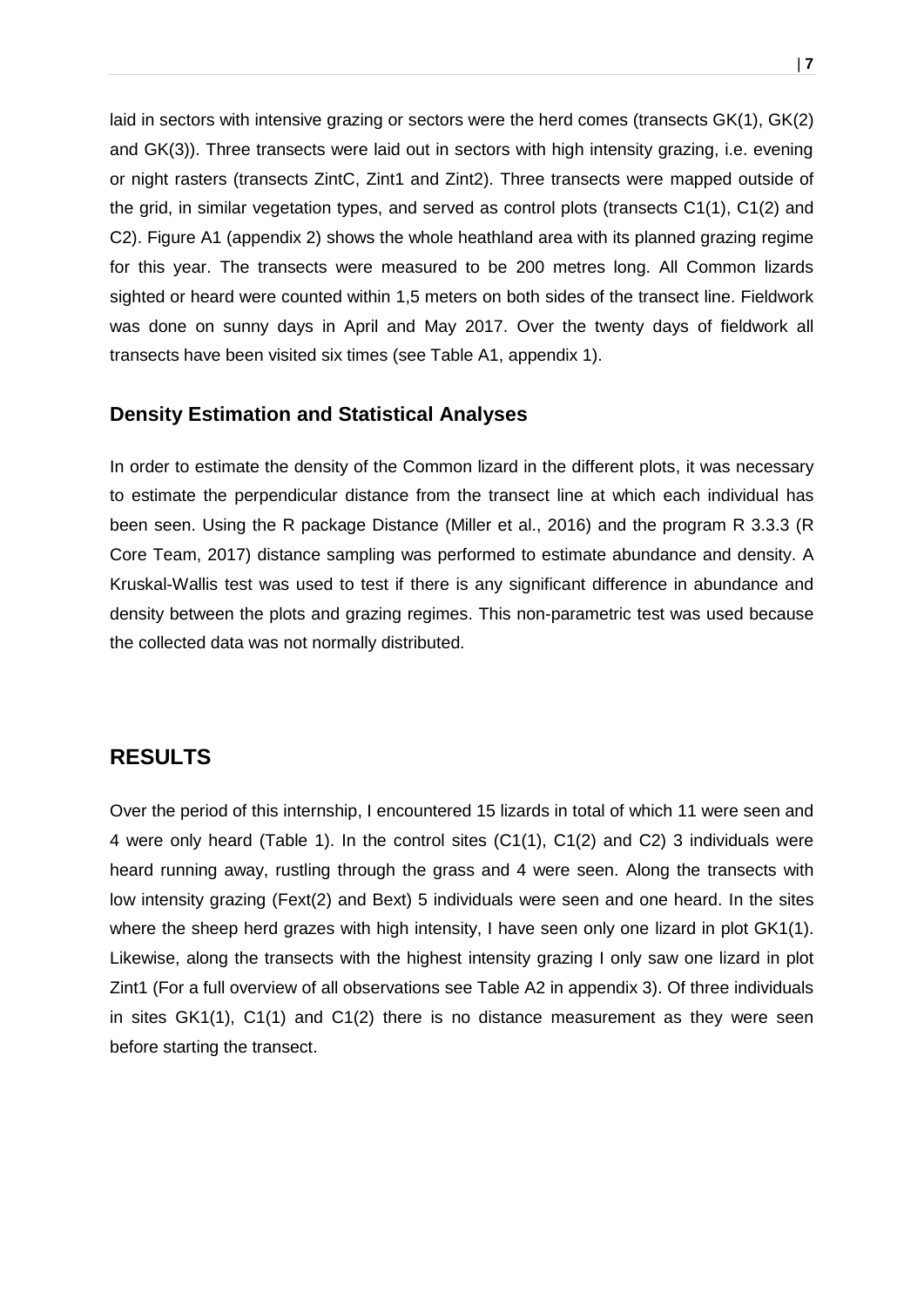laid in sectors with intensive grazing or sectors were the herd comes (transects GK(1), GK(2) and GK(3)). Three transects were laid out in sectors with high intensity grazing, i.e. evening or night rasters (transects ZintC, Zint1 and Zint2). Three transects were mapped outside of the grid, in similar vegetation types, and served as control plots (transects C1(1), C1(2) and C2). Figure A1 (appendix 2) shows the whole heathland area with its planned grazing regime for this year. The transects were measured to be 200 metres long. All Common lizards sighted or heard were counted within 1,5 meters on both sides of the transect line. Fieldwork was done on sunny days in April and May 2017. Over the twenty days of fieldwork all transects have been visited six times (see Table A1, appendix 1).

#### <span id="page-7-0"></span>**Density Estimation and Statistical Analyses**

In order to estimate the density of the Common lizard in the different plots, it was necessary to estimate the perpendicular distance from the transect line at which each individual has been seen. Using the R package Distance (Miller et al., 2016) and the program R 3.3.3 (R Core Team, 2017) distance sampling was performed to estimate abundance and density. A Kruskal-Wallis test was used to test if there is any significant difference in abundance and density between the plots and grazing regimes. This non-parametric test was used because the collected data was not normally distributed.

### <span id="page-7-1"></span>**RESULTS**

Over the period of this internship, I encountered 15 lizards in total of which 11 were seen and 4 were only heard (Table 1). In the control sites (C1(1), C1(2) and C2) 3 individuals were heard running away, rustling through the grass and 4 were seen. Along the transects with low intensity grazing (Fext(2) and Bext) 5 individuals were seen and one heard. In the sites where the sheep herd grazes with high intensity, I have seen only one lizard in plot GK1(1). Likewise, along the transects with the highest intensity grazing I only saw one lizard in plot Zint1 (For a full overview of all observations see Table A2 in appendix 3). Of three individuals in sites GK1(1), C1(1) and C1(2) there is no distance measurement as they were seen before starting the transect.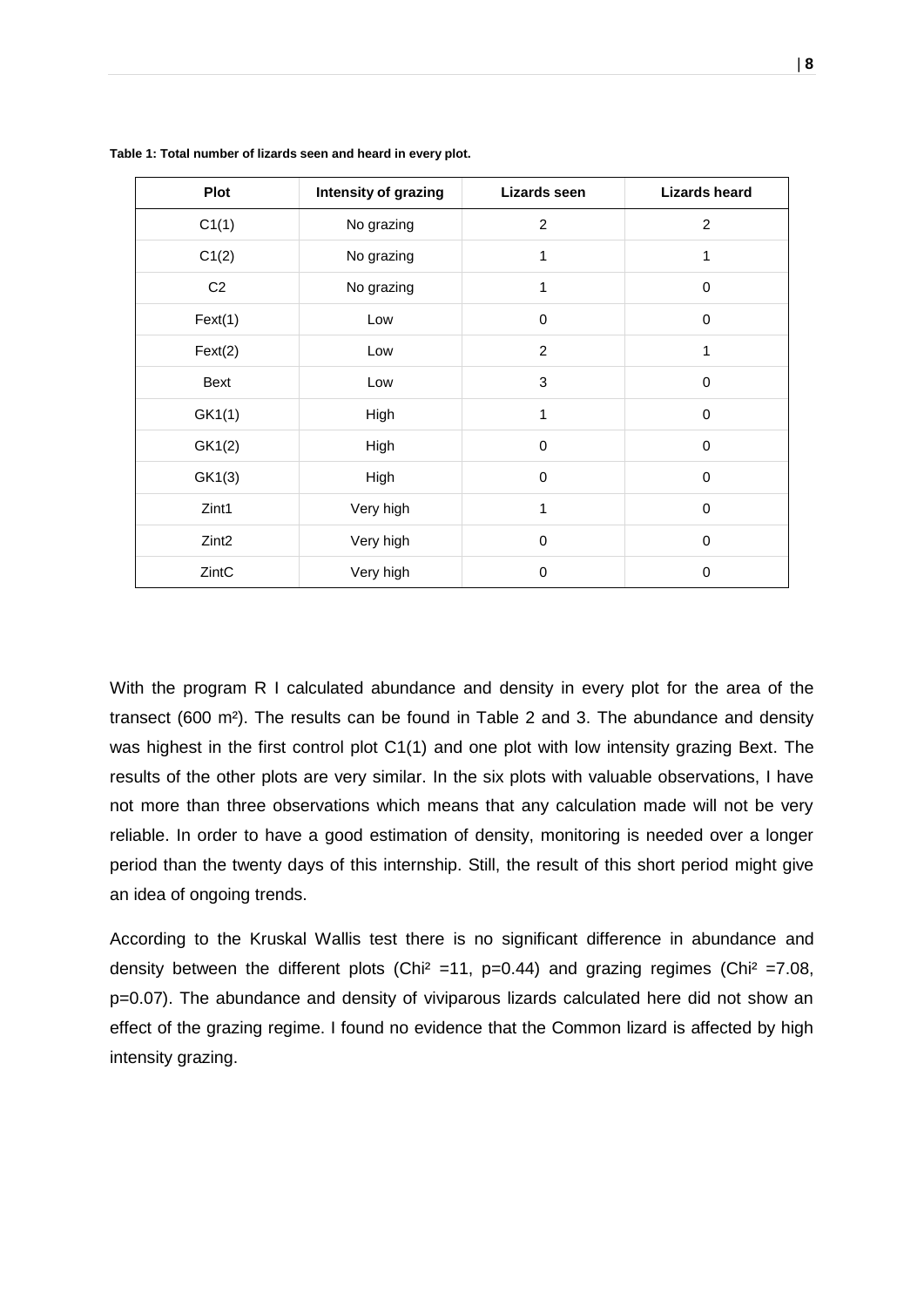| <b>Plot</b>       | Intensity of grazing<br>Lizards seen |              | <b>Lizards heard</b> |  |
|-------------------|--------------------------------------|--------------|----------------------|--|
| C1(1)             | 2<br>No grazing                      |              | 2                    |  |
| C1(2)             | No grazing                           | 1            | 1                    |  |
| C <sub>2</sub>    | No grazing                           | 1            | 0                    |  |
| Text(1)           | Low                                  | $\mathbf 0$  | $\mathbf 0$          |  |
| Text(2)           | Low                                  | 2            | 1                    |  |
| Bext              | Low                                  | 3            | $\mathbf 0$          |  |
| GK1(1)            | High                                 | $\mathbf{1}$ | $\mathbf 0$          |  |
| GK1(2)            | High                                 | $\mathbf 0$  | 0                    |  |
| GK1(3)            | High                                 | $\mathbf 0$  | 0                    |  |
| Zint1             | Very high                            | 1            | $\mathbf 0$          |  |
| Zint <sub>2</sub> | Very high                            | $\mathbf 0$  | 0                    |  |
| ZintC             | Very high                            | $\mathbf 0$  | 0                    |  |

**Table 1: Total number of lizards seen and heard in every plot.**

With the program R I calculated abundance and density in every plot for the area of the transect (600 m<sup>2</sup>). The results can be found in Table 2 and 3. The abundance and density was highest in the first control plot C1(1) and one plot with low intensity grazing Bext. The results of the other plots are very similar. In the six plots with valuable observations, I have not more than three observations which means that any calculation made will not be very reliable. In order to have a good estimation of density, monitoring is needed over a longer period than the twenty days of this internship. Still, the result of this short period might give an idea of ongoing trends.

According to the Kruskal Wallis test there is no significant difference in abundance and density between the different plots (Chi<sup>2</sup> =11, p=0.44) and grazing regimes (Chi<sup>2</sup> =7.08, p=0.07). The abundance and density of viviparous lizards calculated here did not show an effect of the grazing regime. I found no evidence that the Common lizard is affected by high intensity grazing.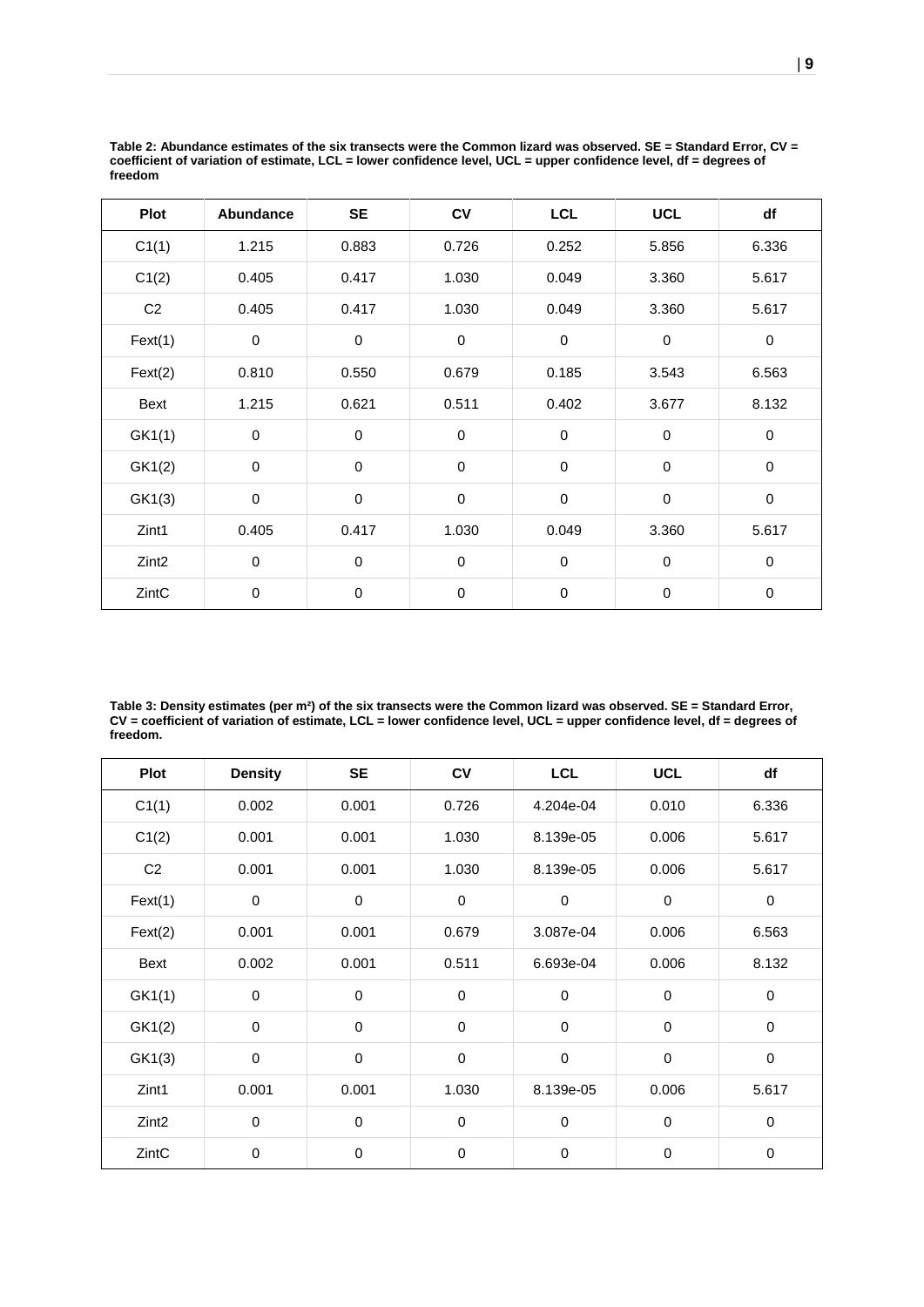| <b>Plot</b>       | <b>Abundance</b> | <b>SE</b>   | CV          | <b>LCL</b>  | <b>UCL</b>  | df          |
|-------------------|------------------|-------------|-------------|-------------|-------------|-------------|
| C1(1)             | 1.215            | 0.883       | 0.726       | 0.252       | 5.856       | 6.336       |
| C1(2)             | 0.405            | 0.417       | 1.030       | 0.049       | 3.360       | 5.617       |
| C <sub>2</sub>    | 0.405            | 0.417       | 1.030       | 0.049       | 3.360       | 5.617       |
| Text(1)           | $\mathbf 0$      | $\pmb{0}$   | $\mathbf 0$ | $\pmb{0}$   | $\mathbf 0$ | $\mathbf 0$ |
| Text(2)           | 0.810            | 0.550       | 0.679       | 0.185       | 3.543       | 6.563       |
| Bext              | 1.215            | 0.621       | 0.511       | 0.402       | 3.677       | 8.132       |
| GK1(1)            | 0                | $\pmb{0}$   | $\pmb{0}$   | $\pmb{0}$   | $\mathbf 0$ | $\pmb{0}$   |
| GK1(2)            | 0                | $\mathbf 0$ | $\mathbf 0$ | 0           | $\mathbf 0$ | $\mathbf 0$ |
| GK1(3)            | 0                | $\pmb{0}$   | $\mathbf 0$ | 0           | $\mathbf 0$ | $\pmb{0}$   |
| Zint1             | 0.405            | 0.417       | 1.030       | 0.049       | 3.360       | 5.617       |
| Zint <sub>2</sub> | 0                | $\mathbf 0$ | $\mathbf 0$ | $\mathbf 0$ | $\mathbf 0$ | $\mathbf 0$ |
| ZintC             | $\,0\,$          | $\mathbf 0$ | $\pmb{0}$   | $\pmb{0}$   | $\pmb{0}$   | $\pmb{0}$   |

**Table 2: Abundance estimates of the six transects were the Common lizard was observed. SE = Standard Error, CV = coefficient of variation of estimate, LCL = lower confidence level, UCL = upper confidence level, df = degrees of freedom**

**Table 3: Density estimates (per m²) of the six transects were the Common lizard was observed. SE = Standard Error, CV = coefficient of variation of estimate, LCL = lower confidence level, UCL = upper confidence level, df = degrees of freedom.**

| <b>Plot</b>       | <b>Density</b> | <b>SE</b>   | <b>CV</b>   | <b>LCL</b>  | <b>UCL</b>  | df          |
|-------------------|----------------|-------------|-------------|-------------|-------------|-------------|
| C1(1)             | 0.002          | 0.001       | 0.726       | 4.204e-04   | 0.010       | 6.336       |
| C1(2)             | 0.001          | 0.001       | 1.030       | 8.139e-05   | 0.006       | 5.617       |
| C <sub>2</sub>    | 0.001          | 0.001       | 1.030       | 8.139e-05   | 0.006       | 5.617       |
| Fext(1)           | $\mathbf 0$    | $\mathbf 0$ | $\mathbf 0$ | $\mathbf 0$ | $\mathbf 0$ | $\mathbf 0$ |
| Text(2)           | 0.001          | 0.001       | 0.679       | 3.087e-04   | 0.006       | 6.563       |
| Bext              | 0.002          | 0.001       | 0.511       | 6.693e-04   | 0.006       | 8.132       |
| GK1(1)            | $\mathbf 0$    | $\mathbf 0$ | $\pmb{0}$   | $\mathbf 0$ | $\mathbf 0$ | 0           |
| GK1(2)            | $\mathbf 0$    | 0           | $\pmb{0}$   | 0           | $\pmb{0}$   | $\mathbf 0$ |
| GK1(3)            | $\mathbf 0$    | $\pmb{0}$   | $\pmb{0}$   | 0           | $\pmb{0}$   | 0           |
| Zint1             | 0.001          | 0.001       | 1.030       | 8.139e-05   | 0.006       | 5.617       |
| Zint <sub>2</sub> | $\mathbf 0$    | $\mathbf 0$ | $\mathbf 0$ | $\mathbf 0$ | $\mathbf 0$ | $\mathbf 0$ |
| ZintC             | $\pmb{0}$      | 0           | $\mathbf 0$ | 0           | 0           | $\mathbf 0$ |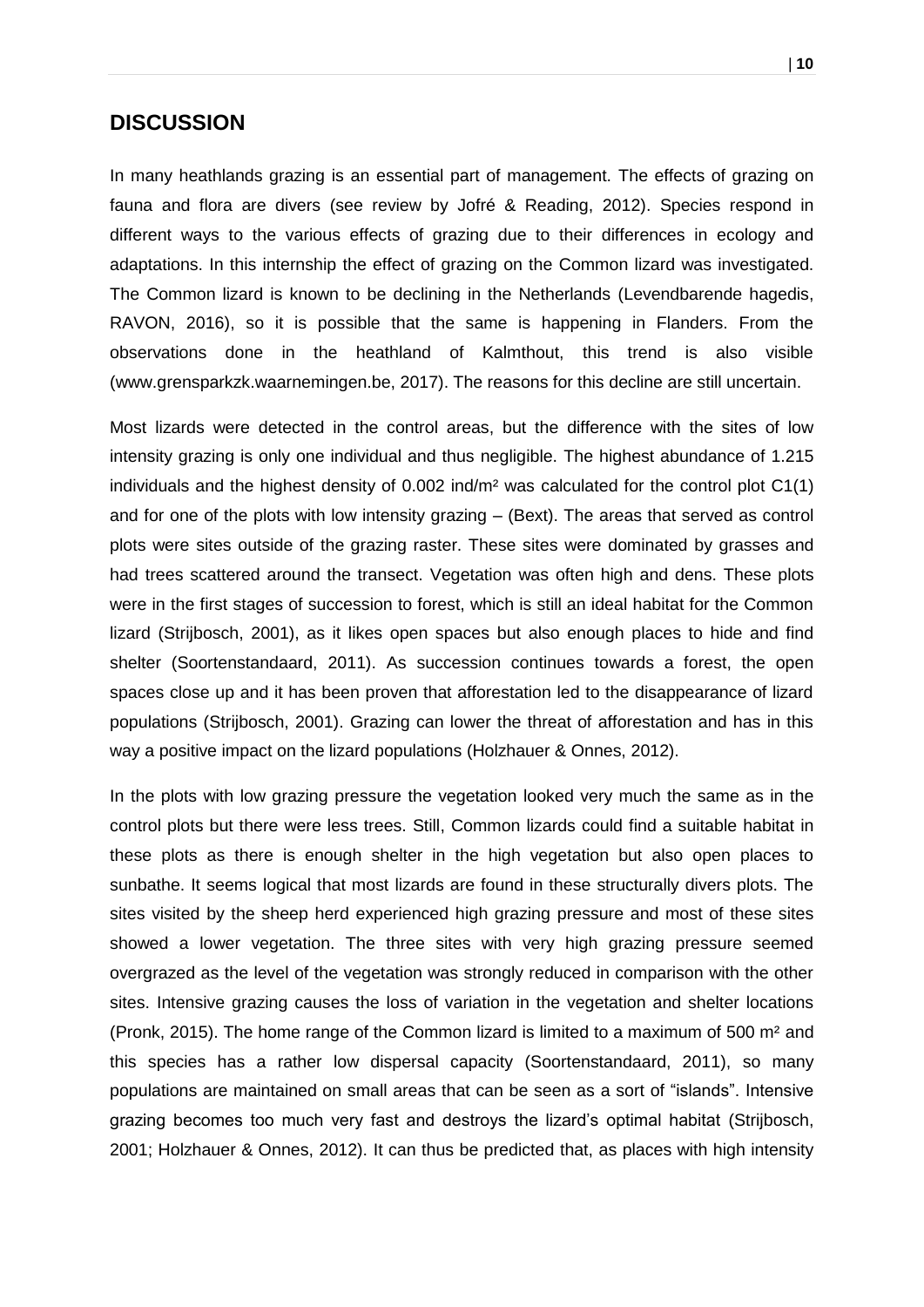#### <span id="page-10-0"></span>**DISCUSSION**

In many heathlands grazing is an essential part of management. The effects of grazing on fauna and flora are divers (see review by Jofré & Reading, 2012). Species respond in different ways to the various effects of grazing due to their differences in ecology and adaptations. In this internship the effect of grazing on the Common lizard was investigated. The Common lizard is known to be declining in the Netherlands (Levendbarende hagedis, RAVON, 2016), so it is possible that the same is happening in Flanders. From the observations done in the heathland of Kalmthout, this trend is also visible (www.grensparkzk.waarnemingen.be, 2017). The reasons for this decline are still uncertain.

Most lizards were detected in the control areas, but the difference with the sites of low intensity grazing is only one individual and thus negligible. The highest abundance of 1.215 individuals and the highest density of 0.002 ind/m² was calculated for the control plot C1(1) and for one of the plots with low intensity grazing – (Bext). The areas that served as control plots were sites outside of the grazing raster. These sites were dominated by grasses and had trees scattered around the transect. Vegetation was often high and dens. These plots were in the first stages of succession to forest, which is still an ideal habitat for the Common lizard (Strijbosch, 2001), as it likes open spaces but also enough places to hide and find shelter (Soortenstandaard, 2011). As succession continues towards a forest, the open spaces close up and it has been proven that afforestation led to the disappearance of lizard populations (Strijbosch, 2001). Grazing can lower the threat of afforestation and has in this way a positive impact on the lizard populations (Holzhauer & Onnes, 2012).

In the plots with low grazing pressure the vegetation looked very much the same as in the control plots but there were less trees. Still, Common lizards could find a suitable habitat in these plots as there is enough shelter in the high vegetation but also open places to sunbathe. It seems logical that most lizards are found in these structurally divers plots. The sites visited by the sheep herd experienced high grazing pressure and most of these sites showed a lower vegetation. The three sites with very high grazing pressure seemed overgrazed as the level of the vegetation was strongly reduced in comparison with the other sites. Intensive grazing causes the loss of variation in the vegetation and shelter locations (Pronk, 2015). The home range of the Common lizard is limited to a maximum of 500 m² and this species has a rather low dispersal capacity (Soortenstandaard, 2011), so many populations are maintained on small areas that can be seen as a sort of "islands". Intensive grazing becomes too much very fast and destroys the lizard's optimal habitat (Strijbosch, 2001; Holzhauer & Onnes, 2012). It can thus be predicted that, as places with high intensity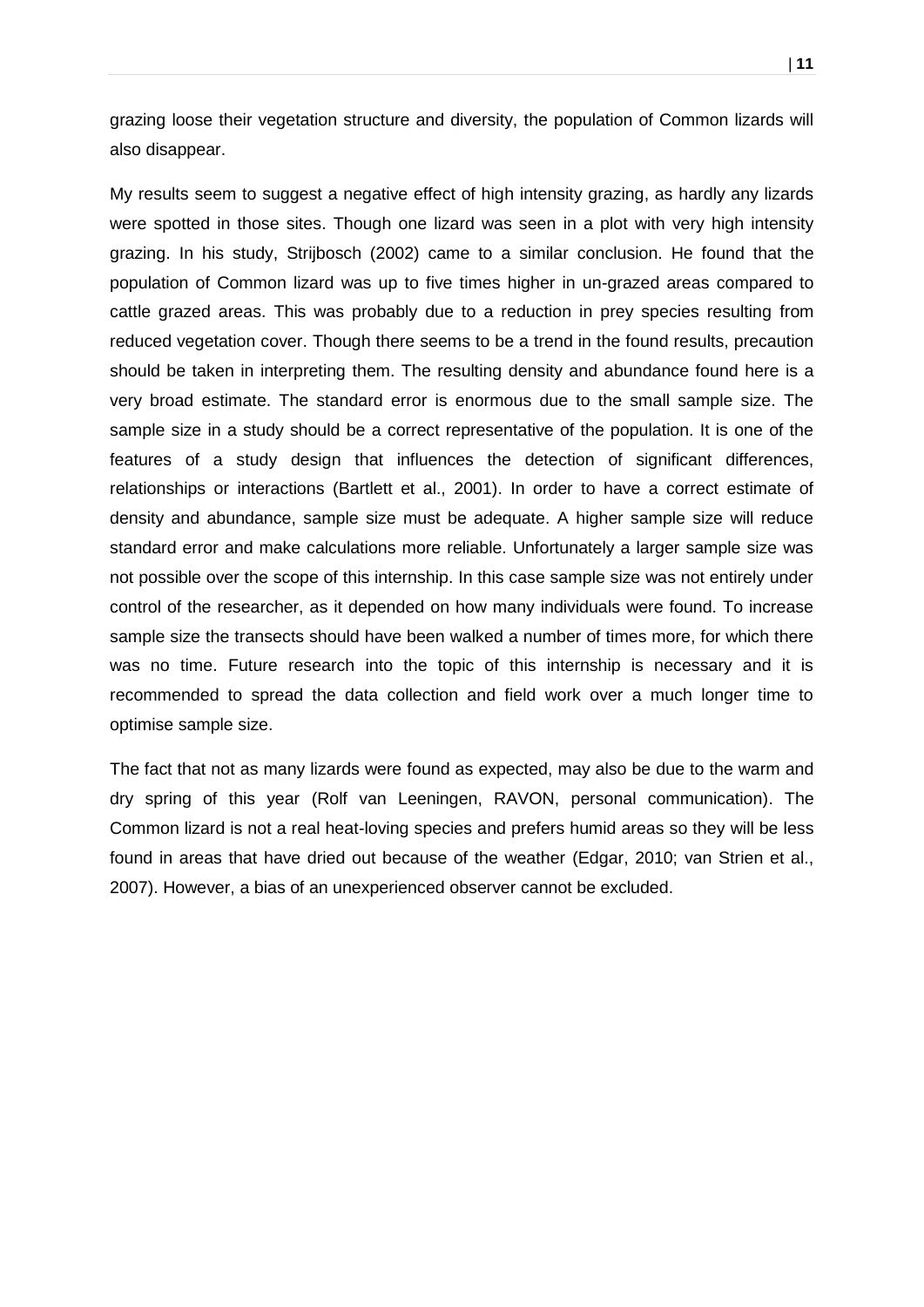grazing loose their vegetation structure and diversity, the population of Common lizards will also disappear.

My results seem to suggest a negative effect of high intensity grazing, as hardly any lizards were spotted in those sites. Though one lizard was seen in a plot with very high intensity grazing. In his study, Strijbosch (2002) came to a similar conclusion. He found that the population of Common lizard was up to five times higher in un-grazed areas compared to cattle grazed areas. This was probably due to a reduction in prey species resulting from reduced vegetation cover. Though there seems to be a trend in the found results, precaution should be taken in interpreting them. The resulting density and abundance found here is a very broad estimate. The standard error is enormous due to the small sample size. The sample size in a study should be a correct representative of the population. It is one of the features of a study design that influences the detection of significant differences, relationships or interactions (Bartlett et al., 2001). In order to have a correct estimate of density and abundance, sample size must be adequate. A higher sample size will reduce standard error and make calculations more reliable. Unfortunately a larger sample size was not possible over the scope of this internship. In this case sample size was not entirely under control of the researcher, as it depended on how many individuals were found. To increase sample size the transects should have been walked a number of times more, for which there was no time. Future research into the topic of this internship is necessary and it is recommended to spread the data collection and field work over a much longer time to optimise sample size.

The fact that not as many lizards were found as expected, may also be due to the warm and dry spring of this year (Rolf van Leeningen, RAVON, personal communication). The Common lizard is not a real heat-loving species and prefers humid areas so they will be less found in areas that have dried out because of the weather (Edgar, 2010; van Strien et al., 2007). However, a bias of an unexperienced observer cannot be excluded.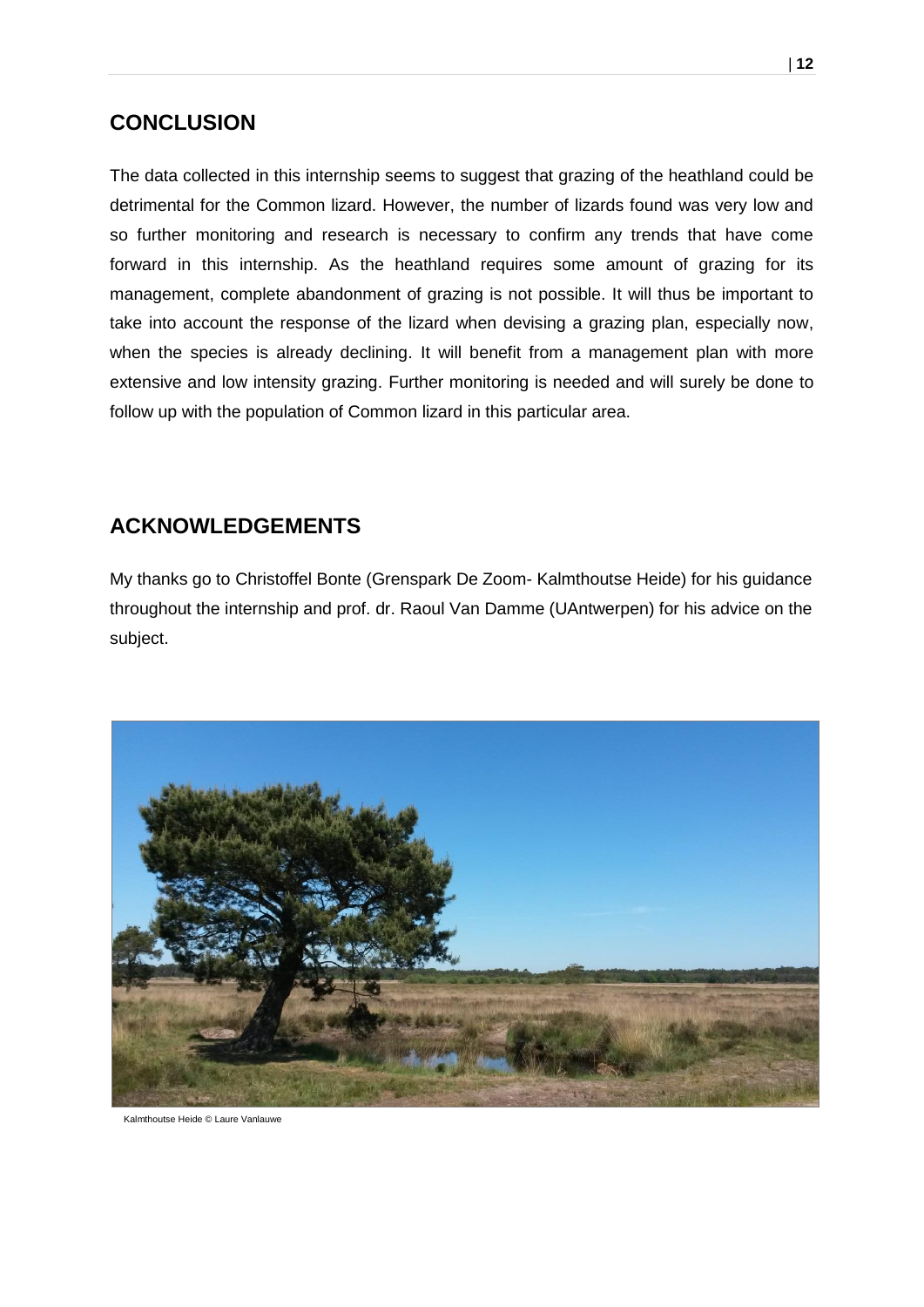## <span id="page-12-0"></span>**CONCLUSION**

The data collected in this internship seems to suggest that grazing of the heathland could be detrimental for the Common lizard. However, the number of lizards found was very low and so further monitoring and research is necessary to confirm any trends that have come forward in this internship. As the heathland requires some amount of grazing for its management, complete abandonment of grazing is not possible. It will thus be important to take into account the response of the lizard when devising a grazing plan, especially now, when the species is already declining. It will benefit from a management plan with more extensive and low intensity grazing. Further monitoring is needed and will surely be done to follow up with the population of Common lizard in this particular area.

## <span id="page-12-1"></span>**ACKNOWLEDGEMENTS**

My thanks go to Christoffel Bonte (Grenspark De Zoom- Kalmthoutse Heide) for his guidance throughout the internship and prof. dr. Raoul Van Damme (UAntwerpen) for his advice on the subject.



Kalmthoutse Heide © Laure Vanlauwe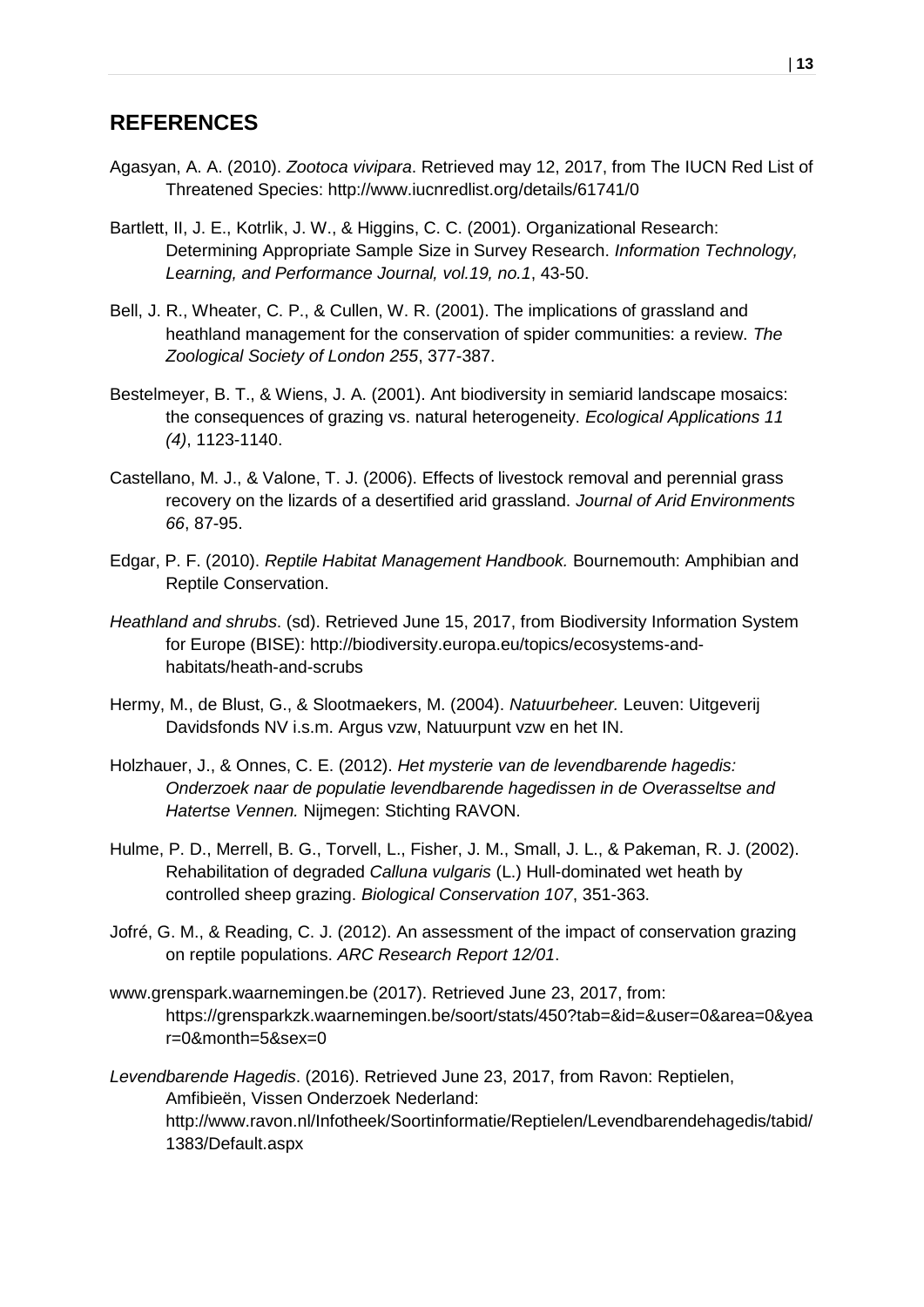## <span id="page-13-0"></span>**REFERENCES**

- Agasyan, A. A. (2010). *Zootoca vivipara*. Retrieved may 12, 2017, from The IUCN Red List of Threatened Species: http://www.iucnredlist.org/details/61741/0
- Bartlett, II, J. E., Kotrlik, J. W., & Higgins, C. C. (2001). Organizational Research: Determining Appropriate Sample Size in Survey Research. *Information Technology, Learning, and Performance Journal, vol.19, no.1*, 43-50.
- Bell, J. R., Wheater, C. P., & Cullen, W. R. (2001). The implications of grassland and heathland management for the conservation of spider communities: a review. *The Zoological Society of London 255*, 377-387.
- Bestelmeyer, B. T., & Wiens, J. A. (2001). Ant biodiversity in semiarid landscape mosaics: the consequences of grazing vs. natural heterogeneity. *Ecological Applications 11 (4)*, 1123-1140.
- Castellano, M. J., & Valone, T. J. (2006). Effects of livestock removal and perennial grass recovery on the lizards of a desertified arid grassland. *Journal of Arid Environments 66*, 87-95.
- Edgar, P. F. (2010). *Reptile Habitat Management Handbook.* Bournemouth: Amphibian and Reptile Conservation.
- *Heathland and shrubs*. (sd). Retrieved June 15, 2017, from Biodiversity Information System for Europe (BISE): http://biodiversity.europa.eu/topics/ecosystems-andhabitats/heath-and-scrubs
- Hermy, M., de Blust, G., & Slootmaekers, M. (2004). *Natuurbeheer.* Leuven: Uitgeverij Davidsfonds NV i.s.m. Argus vzw, Natuurpunt vzw en het IN.
- Holzhauer, J., & Onnes, C. E. (2012). *Het mysterie van de levendbarende hagedis: Onderzoek naar de populatie levendbarende hagedissen in de Overasseltse and Hatertse Vennen.* Nijmegen: Stichting RAVON.
- Hulme, P. D., Merrell, B. G., Torvell, L., Fisher, J. M., Small, J. L., & Pakeman, R. J. (2002). Rehabilitation of degraded *Calluna vulgaris* (L.) Hull-dominated wet heath by controlled sheep grazing. *Biological Conservation 107*, 351-363.
- Jofré, G. M., & Reading, C. J. (2012). An assessment of the impact of conservation grazing on reptile populations. *ARC Research Report 12/01*.
- www.grenspark.waarnemingen.be (2017). Retrieved June 23, 2017, from: https://grensparkzk.waarnemingen.be/soort/stats/450?tab=&id=&user=0&area=0&yea r=0&month=5&sex=0
- *Levendbarende Hagedis*. (2016). Retrieved June 23, 2017, from Ravon: Reptielen, Amfibieën, Vissen Onderzoek Nederland: http://www.ravon.nl/Infotheek/Soortinformatie/Reptielen/Levendbarendehagedis/tabid/ 1383/Default.aspx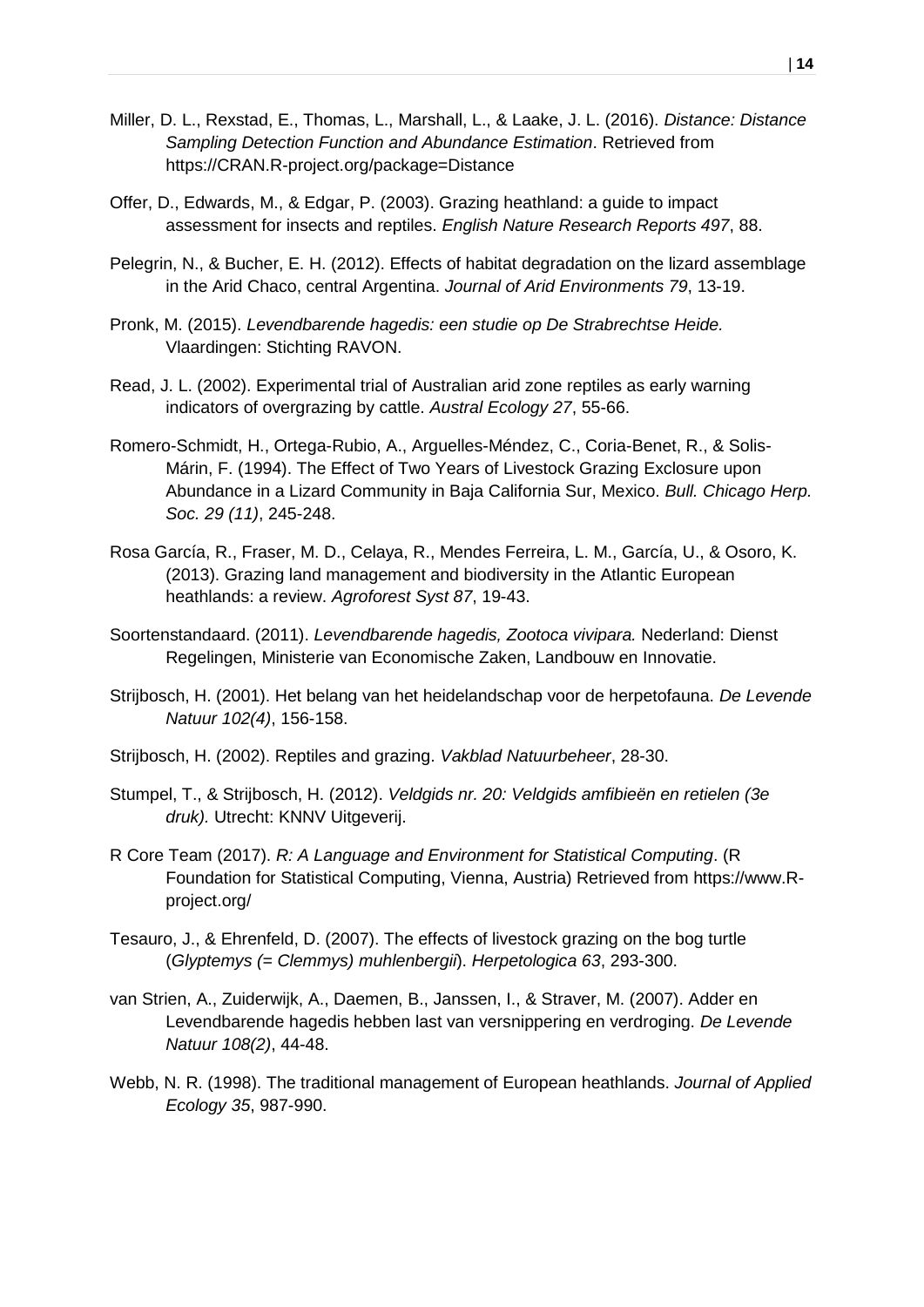- Miller, D. L., Rexstad, E., Thomas, L., Marshall, L., & Laake, J. L. (2016). *Distance: Distance Sampling Detection Function and Abundance Estimation*. Retrieved from https://CRAN.R-project.org/package=Distance
- Offer, D., Edwards, M., & Edgar, P. (2003). Grazing heathland: a guide to impact assessment for insects and reptiles. *English Nature Research Reports 497*, 88.
- Pelegrin, N., & Bucher, E. H. (2012). Effects of habitat degradation on the lizard assemblage in the Arid Chaco, central Argentina. *Journal of Arid Environments 79*, 13-19.
- Pronk, M. (2015). *Levendbarende hagedis: een studie op De Strabrechtse Heide.* Vlaardingen: Stichting RAVON.
- Read, J. L. (2002). Experimental trial of Australian arid zone reptiles as early warning indicators of overgrazing by cattle. *Austral Ecology 27*, 55-66.
- Romero-Schmidt, H., Ortega-Rubio, A., Arguelles-Méndez, C., Coria-Benet, R., & Solis-Márin, F. (1994). The Effect of Two Years of Livestock Grazing Exclosure upon Abundance in a Lizard Community in Baja California Sur, Mexico. *Bull. Chicago Herp. Soc. 29 (11)*, 245-248.
- Rosa García, R., Fraser, M. D., Celaya, R., Mendes Ferreira, L. M., García, U., & Osoro, K. (2013). Grazing land management and biodiversity in the Atlantic European heathlands: a review. *Agroforest Syst 87*, 19-43.
- Soortenstandaard. (2011). *Levendbarende hagedis, Zootoca vivipara.* Nederland: Dienst Regelingen, Ministerie van Economische Zaken, Landbouw en Innovatie.
- Strijbosch, H. (2001). Het belang van het heidelandschap voor de herpetofauna. *De Levende Natuur 102(4)*, 156-158.
- Strijbosch, H. (2002). Reptiles and grazing. *Vakblad Natuurbeheer*, 28-30.
- Stumpel, T., & Strijbosch, H. (2012). *Veldgids nr. 20: Veldgids amfibieën en retielen (3e druk).* Utrecht: KNNV Uitgeverij.
- R Core Team (2017). *R: A Language and Environment for Statistical Computing*. (R Foundation for Statistical Computing, Vienna, Austria) Retrieved from https://www.Rproject.org/
- Tesauro, J., & Ehrenfeld, D. (2007). The effects of livestock grazing on the bog turtle (*Glyptemys (= Clemmys) muhlenbergii*). *Herpetologica 63*, 293-300.
- van Strien, A., Zuiderwijk, A., Daemen, B., Janssen, I., & Straver, M. (2007). Adder en Levendbarende hagedis hebben last van versnippering en verdroging. *De Levende Natuur 108(2)*, 44-48.
- Webb, N. R. (1998). The traditional management of European heathlands. *Journal of Applied Ecology 35*, 987-990.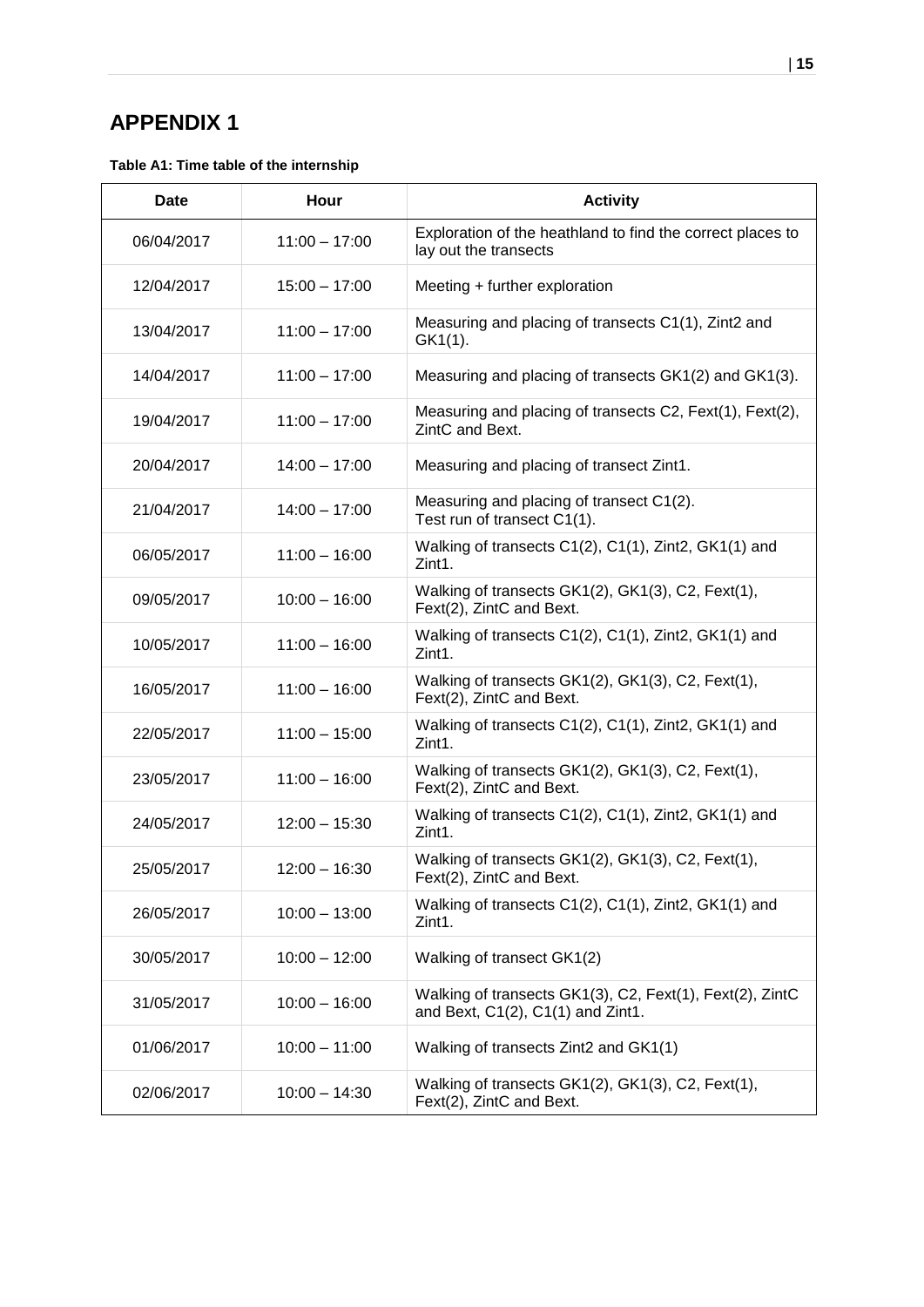## <span id="page-15-0"></span>**APPENDIX 1**

**Table A1: Time table of the internship**

| <b>Date</b> | Hour            | <b>Activity</b>                                                                               |
|-------------|-----------------|-----------------------------------------------------------------------------------------------|
| 06/04/2017  | $11:00 - 17:00$ | Exploration of the heathland to find the correct places to<br>lay out the transects           |
| 12/04/2017  | $15:00 - 17:00$ | Meeting + further exploration                                                                 |
| 13/04/2017  | $11:00 - 17:00$ | Measuring and placing of transects C1(1), Zint2 and<br>GK1(1).                                |
| 14/04/2017  | $11:00 - 17:00$ | Measuring and placing of transects GK1(2) and GK1(3).                                         |
| 19/04/2017  | $11:00 - 17:00$ | Measuring and placing of transects C2, Fext(1), Fext(2),<br>ZintC and Bext.                   |
| 20/04/2017  | $14:00 - 17:00$ | Measuring and placing of transect Zint1.                                                      |
| 21/04/2017  | $14:00 - 17:00$ | Measuring and placing of transect C1(2).<br>Test run of transect C1(1).                       |
| 06/05/2017  | $11:00 - 16:00$ | Walking of transects C1(2), C1(1), Zint2, GK1(1) and<br>Zint1.                                |
| 09/05/2017  | $10:00 - 16:00$ | Walking of transects GK1(2), GK1(3), C2, Fext(1),<br>Fext(2), ZintC and Bext.                 |
| 10/05/2017  | $11:00 - 16:00$ | Walking of transects C1(2), C1(1), Zint2, GK1(1) and<br>Zint1.                                |
| 16/05/2017  | $11:00 - 16:00$ | Walking of transects GK1(2), GK1(3), C2, Fext(1),<br>Fext(2), ZintC and Bext.                 |
| 22/05/2017  | $11:00 - 15:00$ | Walking of transects C1(2), C1(1), Zint2, GK1(1) and<br>Zint1.                                |
| 23/05/2017  | $11:00 - 16:00$ | Walking of transects GK1(2), GK1(3), C2, Fext(1),<br>Fext(2), ZintC and Bext.                 |
| 24/05/2017  | $12:00 - 15:30$ | Walking of transects C1(2), C1(1), Zint2, GK1(1) and<br>Zint1.                                |
| 25/05/2017  | $12:00 - 16:30$ | Walking of transects GK1(2), GK1(3), C2, Fext(1),<br>Fext(2), ZintC and Bext.                 |
| 26/05/2017  | $10:00 - 13:00$ | Walking of transects C1(2), C1(1), Zint2, GK1(1) and<br>Zint1.                                |
| 30/05/2017  | $10:00 - 12:00$ | Walking of transect GK1(2)                                                                    |
| 31/05/2017  | $10:00 - 16:00$ | Walking of transects GK1(3), C2, Fext(1), Fext(2), ZintC<br>and Bext, C1(2), C1(1) and Zint1. |
| 01/06/2017  | $10:00 - 11:00$ | Walking of transects Zint2 and GK1(1)                                                         |
| 02/06/2017  | $10:00 - 14:30$ | Walking of transects GK1(2), GK1(3), C2, Fext(1),<br>Fext(2), ZintC and Bext.                 |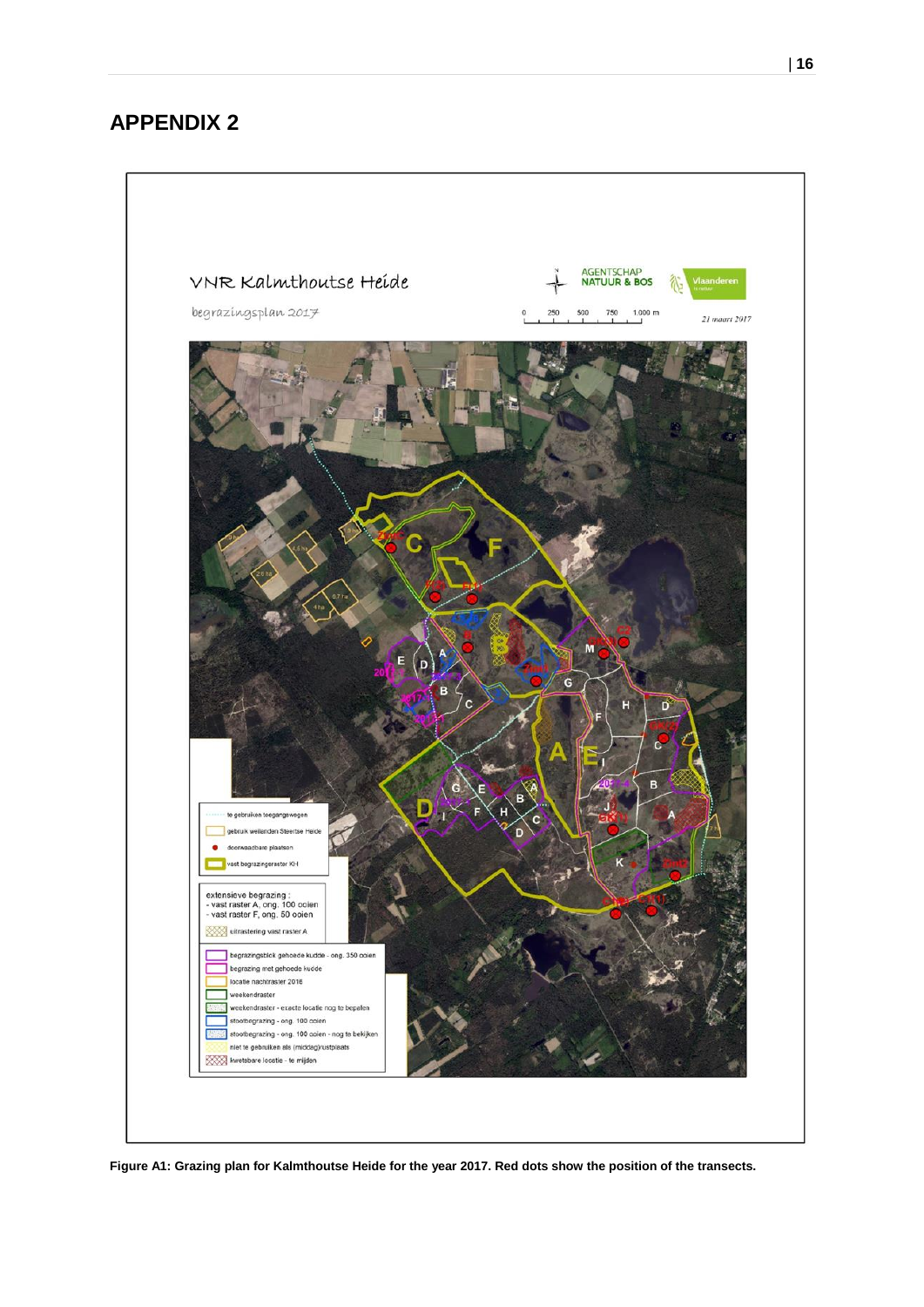## <span id="page-16-0"></span>**APPENDIX 2**



**Figure A1: Grazing plan for Kalmthoutse Heide for the year 2017. Red dots show the position of the transects.**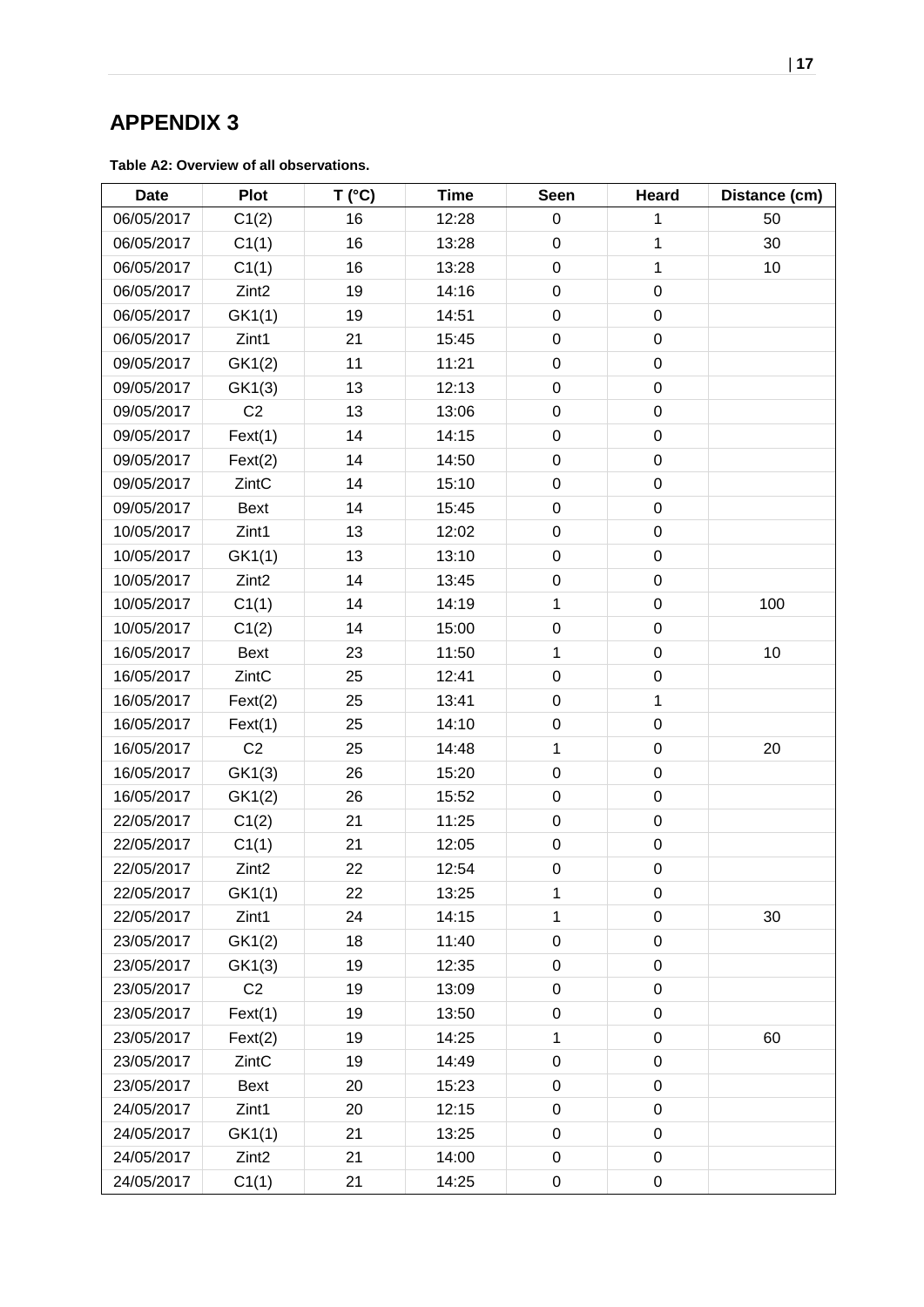## <span id="page-17-0"></span>**APPENDIX 3**

**Table A2: Overview of all observations.**

| <b>Date</b> | <b>Plot</b>       | T (°C) | <b>Time</b> | <b>Seen</b>      | Heard        | Distance (cm) |
|-------------|-------------------|--------|-------------|------------------|--------------|---------------|
| 06/05/2017  | C1(2)             | 16     | 12:28       | $\boldsymbol{0}$ | 1            | 50            |
| 06/05/2017  | C1(1)             | 16     | 13:28       | $\boldsymbol{0}$ | $\mathbf{1}$ | 30            |
| 06/05/2017  | C1(1)             | 16     | 13:28       | $\pmb{0}$        | $\mathbf{1}$ | 10            |
| 06/05/2017  | Zint <sub>2</sub> | 19     | 14:16       | $\boldsymbol{0}$ | $\pmb{0}$    |               |
| 06/05/2017  | GK1(1)            | 19     | 14:51       | $\boldsymbol{0}$ | $\pmb{0}$    |               |
| 06/05/2017  | Zint1             | 21     | 15:45       | $\boldsymbol{0}$ | $\pmb{0}$    |               |
| 09/05/2017  | GK1(2)            | 11     | 11:21       | $\pmb{0}$        | $\pmb{0}$    |               |
| 09/05/2017  | GK1(3)            | 13     | 12:13       | $\mathbf 0$      | $\mathsf 0$  |               |
| 09/05/2017  | C <sub>2</sub>    | 13     | 13:06       | $\mathbf 0$      | $\pmb{0}$    |               |
| 09/05/2017  | Fext(1)           | 14     | 14:15       | $\boldsymbol{0}$ | $\pmb{0}$    |               |
| 09/05/2017  | Fext(2)           | 14     | 14:50       | $\boldsymbol{0}$ | $\pmb{0}$    |               |
| 09/05/2017  | ZintC             | 14     | 15:10       | $\boldsymbol{0}$ | $\pmb{0}$    |               |
| 09/05/2017  | <b>Bext</b>       | 14     | 15:45       | $\boldsymbol{0}$ | $\pmb{0}$    |               |
| 10/05/2017  | Zint1             | 13     | 12:02       | $\mathsf 0$      | $\pmb{0}$    |               |
| 10/05/2017  | GK1(1)            | 13     | 13:10       | $\pmb{0}$        | $\pmb{0}$    |               |
| 10/05/2017  | Zint <sub>2</sub> | 14     | 13:45       | $\boldsymbol{0}$ | $\mathbf 0$  |               |
| 10/05/2017  | C1(1)             | 14     | 14:19       | $\mathbf 1$      | 0            | 100           |
| 10/05/2017  | C1(2)             | 14     | 15:00       | $\mathbf 0$      | $\pmb{0}$    |               |
| 16/05/2017  | <b>Bext</b>       | 23     | 11:50       | $\mathbf 1$      | $\pmb{0}$    | 10            |
| 16/05/2017  | ZintC             | 25     | 12:41       | $\mathbf 0$      | $\mathbf 0$  |               |
| 16/05/2017  | Fext(2)           | 25     | 13:41       | $\boldsymbol{0}$ | $\mathbf{1}$ |               |
| 16/05/2017  | Fext(1)           | 25     | 14:10       | $\pmb{0}$        | $\pmb{0}$    |               |
| 16/05/2017  | C <sub>2</sub>    | 25     | 14:48       | 1                | $\mathbf 0$  | 20            |
| 16/05/2017  | GK1(3)            | 26     | 15:20       | $\boldsymbol{0}$ | $\mathbf 0$  |               |
| 16/05/2017  | GK1(2)            | 26     | 15:52       | $\mathbf 0$      | $\pmb{0}$    |               |
| 22/05/2017  | C1(2)             | 21     | 11:25       | $\mathbf 0$      | $\pmb{0}$    |               |
| 22/05/2017  | C1(1)             | 21     | 12:05       | $\pmb{0}$        | $\pmb{0}$    |               |
| 22/05/2017  | Zint <sub>2</sub> | 22     | 12:54       | $\boldsymbol{0}$ | $\pmb{0}$    |               |
| 22/05/2017  | GK1(1)            | 22     | 13:25       | 1                | 0            |               |
| 22/05/2017  | Zint1             | 24     | 14:15       | $\mathbf{1}$     | $\pmb{0}$    | 30            |
| 23/05/2017  | GK1(2)            | 18     | 11:40       | $\boldsymbol{0}$ | $\pmb{0}$    |               |
| 23/05/2017  | GK1(3)            | 19     | 12:35       | $\boldsymbol{0}$ | $\pmb{0}$    |               |
| 23/05/2017  | C <sub>2</sub>    | 19     | 13:09       | $\boldsymbol{0}$ | $\mathbf 0$  |               |
| 23/05/2017  | Fext(1)           | 19     | 13:50       | $\boldsymbol{0}$ | $\mathbf 0$  |               |
| 23/05/2017  | Text(2)           | 19     | 14:25       | $\mathbf{1}$     | $\mathbf 0$  | 60            |
| 23/05/2017  | ZintC             | 19     | 14:49       | $\boldsymbol{0}$ | 0            |               |
| 23/05/2017  | <b>Bext</b>       | 20     | 15:23       | $\mathbf 0$      | $\pmb{0}$    |               |
| 24/05/2017  | Zint1             | 20     | 12:15       | $\pmb{0}$        | $\pmb{0}$    |               |
| 24/05/2017  | GK1(1)            | 21     | 13:25       | $\boldsymbol{0}$ | $\mathbf 0$  |               |
| 24/05/2017  | Zint <sub>2</sub> | 21     | 14:00       | $\boldsymbol{0}$ | 0            |               |
| 24/05/2017  | C1(1)             | 21     | 14:25       | $\boldsymbol{0}$ | 0            |               |